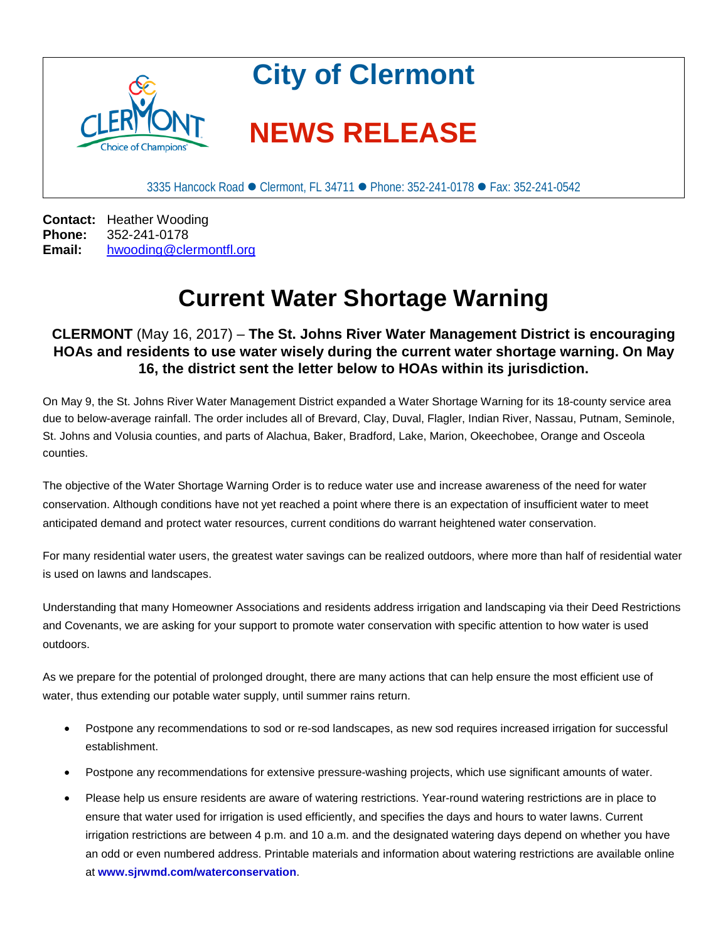

3335 Hancock Road ● Clermont, FL 34711 ● Phone: 352-241-0178 ● Fax: 352-241-0542

**Contact:** Heather Wooding<br>**Phone:** 352-241-0178 **Phone:** 352-241-0178<br>**Email:** hwooding@cle **Email:** [hwooding@clermontfl.org](mailto:hwooding@clermontfl.org)

## **Current Water Shortage Warning**

## **CLERMONT** (May 16, 2017) – **The St. Johns River Water Management District is encouraging HOAs and residents to use water wisely during the current water shortage warning. On May 16, the district sent the letter below to HOAs within its jurisdiction.**

On May 9, the St. Johns River Water Management District expanded a Water Shortage Warning for its 18-county service area due to below-average rainfall. The order includes all of Brevard, Clay, Duval, Flagler, Indian River, Nassau, Putnam, Seminole, St. Johns and Volusia counties, and parts of Alachua, Baker, Bradford, Lake, Marion, Okeechobee, Orange and Osceola counties.

The objective of the Water Shortage Warning Order is to reduce water use and increase awareness of the need for water conservation. Although conditions have not yet reached a point where there is an expectation of insufficient water to meet anticipated demand and protect water resources, current conditions do warrant heightened water conservation.

For many residential water users, the greatest water savings can be realized outdoors, where more than half of residential water is used on lawns and landscapes.

Understanding that many Homeowner Associations and residents address irrigation and landscaping via their Deed Restrictions and Covenants, we are asking for your support to promote water conservation with specific attention to how water is used outdoors.

As we prepare for the potential of prolonged drought, there are many actions that can help ensure the most efficient use of water, thus extending our potable water supply, until summer rains return.

- Postpone any recommendations to sod or re-sod landscapes, as new sod requires increased irrigation for successful establishment.
- Postpone any recommendations for extensive pressure-washing projects, which use significant amounts of water.
- Please help us ensure residents are aware of watering restrictions. Year-round watering restrictions are in place to ensure that water used for irrigation is used efficiently, and specifies the days and hours to water lawns. Current irrigation restrictions are between 4 p.m. and 10 a.m. and the designated watering days depend on whether you have an odd or even numbered address. Printable materials and information about watering restrictions are available online at **[www.sjrwmd.com/waterconservation](http://www.sjrwmd.com/waterconservation)**.